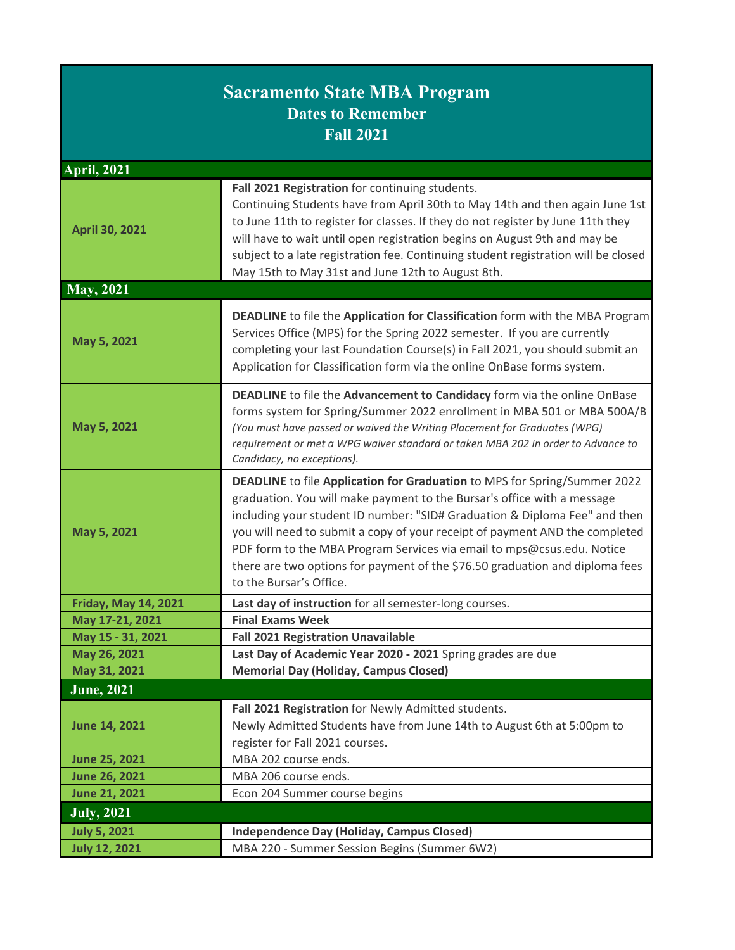| <b>Sacramento State MBA Program</b><br><b>Dates to Remember</b><br><b>Fall 2021</b> |                                                                                                                                                                                                                                                                                                                                                                                                                                                                                                        |  |
|-------------------------------------------------------------------------------------|--------------------------------------------------------------------------------------------------------------------------------------------------------------------------------------------------------------------------------------------------------------------------------------------------------------------------------------------------------------------------------------------------------------------------------------------------------------------------------------------------------|--|
| <b>April, 2021</b>                                                                  |                                                                                                                                                                                                                                                                                                                                                                                                                                                                                                        |  |
| <b>April 30, 2021</b>                                                               | Fall 2021 Registration for continuing students.<br>Continuing Students have from April 30th to May 14th and then again June 1st<br>to June 11th to register for classes. If they do not register by June 11th they<br>will have to wait until open registration begins on August 9th and may be<br>subject to a late registration fee. Continuing student registration will be closed<br>May 15th to May 31st and June 12th to August 8th.                                                             |  |
| <b>May, 2021</b>                                                                    |                                                                                                                                                                                                                                                                                                                                                                                                                                                                                                        |  |
| May 5, 2021                                                                         | DEADLINE to file the Application for Classification form with the MBA Program<br>Services Office (MPS) for the Spring 2022 semester. If you are currently<br>completing your last Foundation Course(s) in Fall 2021, you should submit an<br>Application for Classification form via the online OnBase forms system.                                                                                                                                                                                   |  |
| May 5, 2021                                                                         | DEADLINE to file the Advancement to Candidacy form via the online OnBase<br>forms system for Spring/Summer 2022 enrollment in MBA 501 or MBA 500A/B<br>(You must have passed or waived the Writing Placement for Graduates (WPG)<br>requirement or met a WPG waiver standard or taken MBA 202 in order to Advance to<br>Candidacy, no exceptions).                                                                                                                                                     |  |
| May 5, 2021                                                                         | DEADLINE to file Application for Graduation to MPS for Spring/Summer 2022<br>graduation. You will make payment to the Bursar's office with a message<br>including your student ID number: "SID# Graduation & Diploma Fee" and then<br>you will need to submit a copy of your receipt of payment AND the completed<br>PDF form to the MBA Program Services via email to mps@csus.edu. Notice<br>there are two options for payment of the \$76.50 graduation and diploma fees<br>to the Bursar's Office. |  |
| <b>Friday, May 14, 2021</b>                                                         | Last day of instruction for all semester-long courses.                                                                                                                                                                                                                                                                                                                                                                                                                                                 |  |
| May 17-21, 2021                                                                     | <b>Final Exams Week</b>                                                                                                                                                                                                                                                                                                                                                                                                                                                                                |  |
| May 15 - 31, 2021                                                                   | <b>Fall 2021 Registration Unavailable</b>                                                                                                                                                                                                                                                                                                                                                                                                                                                              |  |
| May 26, 2021                                                                        | Last Day of Academic Year 2020 - 2021 Spring grades are due                                                                                                                                                                                                                                                                                                                                                                                                                                            |  |
| May 31, 2021                                                                        | <b>Memorial Day (Holiday, Campus Closed)</b>                                                                                                                                                                                                                                                                                                                                                                                                                                                           |  |
| June, 2021                                                                          |                                                                                                                                                                                                                                                                                                                                                                                                                                                                                                        |  |
| <b>June 14, 2021</b>                                                                | Fall 2021 Registration for Newly Admitted students.<br>Newly Admitted Students have from June 14th to August 6th at 5:00pm to<br>register for Fall 2021 courses.                                                                                                                                                                                                                                                                                                                                       |  |
| <b>June 25, 2021</b>                                                                | MBA 202 course ends.                                                                                                                                                                                                                                                                                                                                                                                                                                                                                   |  |
| <b>June 26, 2021</b>                                                                | MBA 206 course ends.                                                                                                                                                                                                                                                                                                                                                                                                                                                                                   |  |
| <b>June 21, 2021</b>                                                                | Econ 204 Summer course begins                                                                                                                                                                                                                                                                                                                                                                                                                                                                          |  |
| <b>July, 2021</b>                                                                   |                                                                                                                                                                                                                                                                                                                                                                                                                                                                                                        |  |
| <b>July 5, 2021</b>                                                                 | <b>Independence Day (Holiday, Campus Closed)</b>                                                                                                                                                                                                                                                                                                                                                                                                                                                       |  |
| <b>July 12, 2021</b>                                                                | MBA 220 - Summer Session Begins (Summer 6W2)                                                                                                                                                                                                                                                                                                                                                                                                                                                           |  |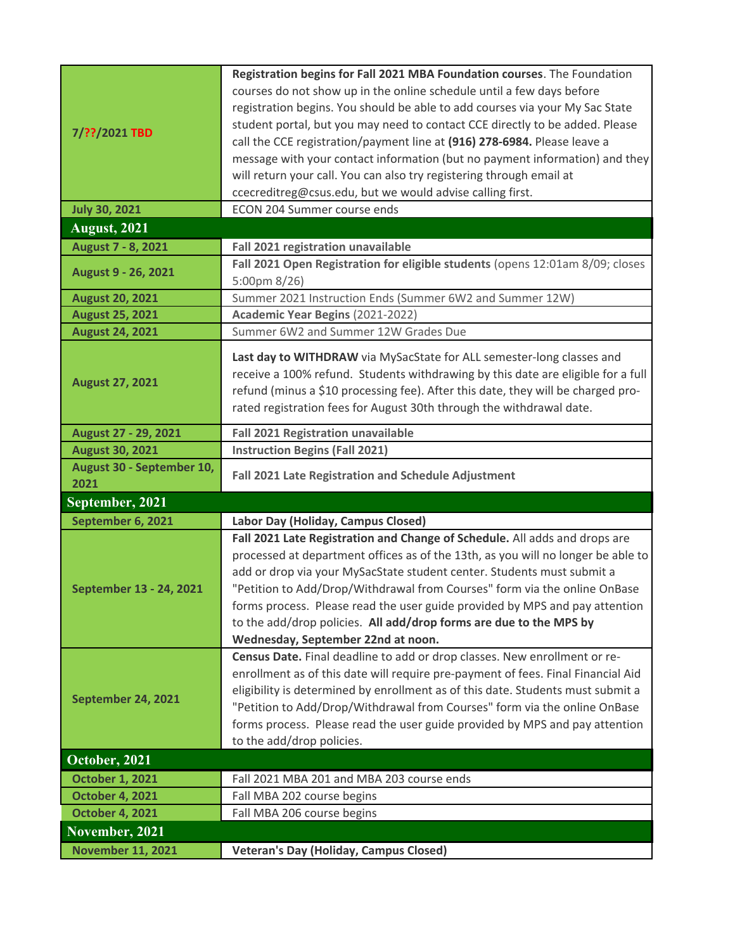| 7/??/2021 TBD             | Registration begins for Fall 2021 MBA Foundation courses. The Foundation<br>courses do not show up in the online schedule until a few days before |
|---------------------------|---------------------------------------------------------------------------------------------------------------------------------------------------|
|                           | registration begins. You should be able to add courses via your My Sac State                                                                      |
|                           | student portal, but you may need to contact CCE directly to be added. Please                                                                      |
|                           | call the CCE registration/payment line at (916) 278-6984. Please leave a                                                                          |
|                           |                                                                                                                                                   |
|                           | message with your contact information (but no payment information) and they                                                                       |
|                           | will return your call. You can also try registering through email at                                                                              |
|                           | ccecreditreg@csus.edu, but we would advise calling first.                                                                                         |
| <b>July 30, 2021</b>      | ECON 204 Summer course ends                                                                                                                       |
| <b>August, 2021</b>       |                                                                                                                                                   |
| August 7 - 8, 2021        | Fall 2021 registration unavailable                                                                                                                |
| August 9 - 26, 2021       | Fall 2021 Open Registration for eligible students (opens 12:01am 8/09; closes                                                                     |
|                           | 5:00pm $8/26$ )                                                                                                                                   |
| <b>August 20, 2021</b>    | Summer 2021 Instruction Ends (Summer 6W2 and Summer 12W)                                                                                          |
| <b>August 25, 2021</b>    | Academic Year Begins (2021-2022)                                                                                                                  |
| <b>August 24, 2021</b>    | Summer 6W2 and Summer 12W Grades Due                                                                                                              |
|                           | Last day to WITHDRAW via MySacState for ALL semester-long classes and                                                                             |
|                           | receive a 100% refund. Students withdrawing by this date are eligible for a full                                                                  |
| <b>August 27, 2021</b>    | refund (minus a \$10 processing fee). After this date, they will be charged pro-                                                                  |
|                           | rated registration fees for August 30th through the withdrawal date.                                                                              |
|                           |                                                                                                                                                   |
| August 27 - 29, 2021      | <b>Fall 2021 Registration unavailable</b>                                                                                                         |
| <b>August 30, 2021</b>    | <b>Instruction Begins (Fall 2021)</b>                                                                                                             |
|                           |                                                                                                                                                   |
| August 30 - September 10, |                                                                                                                                                   |
| 2021                      | Fall 2021 Late Registration and Schedule Adjustment                                                                                               |
| September, 2021           |                                                                                                                                                   |
| September 6, 2021         | Labor Day (Holiday, Campus Closed)                                                                                                                |
|                           | Fall 2021 Late Registration and Change of Schedule. All adds and drops are                                                                        |
|                           | processed at department offices as of the 13th, as you will no longer be able to                                                                  |
|                           | add or drop via your MySacState student center. Students must submit a                                                                            |
| September 13 - 24, 2021   | "Petition to Add/Drop/Withdrawal from Courses" form via the online OnBase                                                                         |
|                           | forms process. Please read the user guide provided by MPS and pay attention                                                                       |
|                           | to the add/drop policies. All add/drop forms are due to the MPS by                                                                                |
|                           | Wednesday, September 22nd at noon.                                                                                                                |
|                           | Census Date. Final deadline to add or drop classes. New enrollment or re-                                                                         |
|                           | enrollment as of this date will require pre-payment of fees. Final Financial Aid                                                                  |
|                           | eligibility is determined by enrollment as of this date. Students must submit a                                                                   |
| September 24, 2021        | "Petition to Add/Drop/Withdrawal from Courses" form via the online OnBase                                                                         |
|                           | forms process. Please read the user guide provided by MPS and pay attention                                                                       |
|                           | to the add/drop policies.                                                                                                                         |
| October, 2021             |                                                                                                                                                   |
| <b>October 1, 2021</b>    | Fall 2021 MBA 201 and MBA 203 course ends                                                                                                         |
| <b>October 4, 2021</b>    | Fall MBA 202 course begins                                                                                                                        |
| <b>October 4, 2021</b>    | Fall MBA 206 course begins                                                                                                                        |
| November, 2021            |                                                                                                                                                   |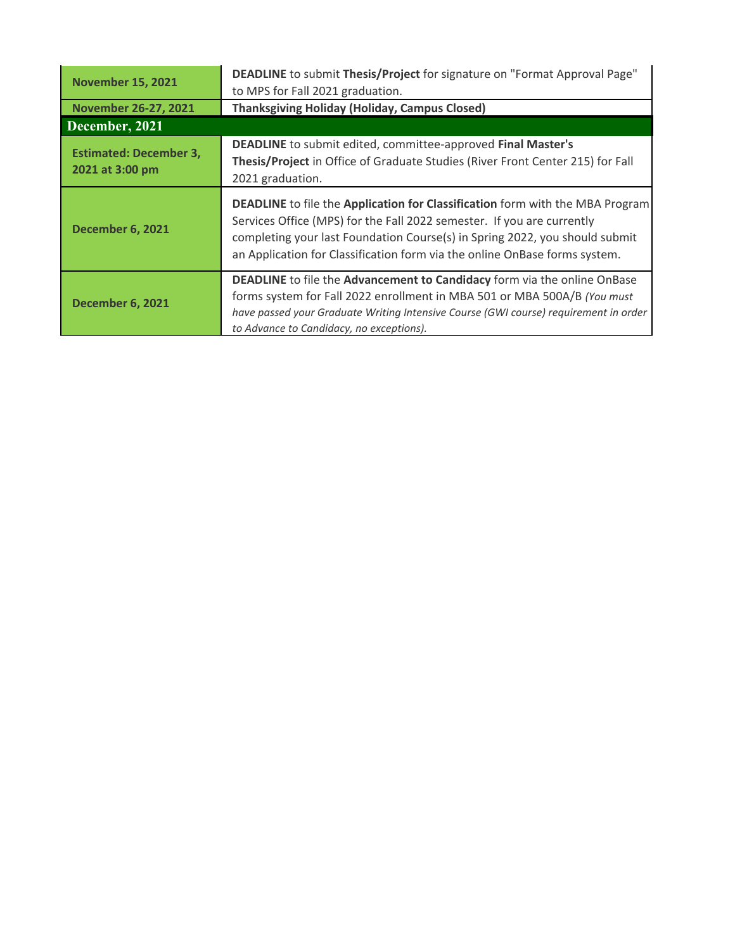| <b>November 15, 2021</b>                         | DEADLINE to submit Thesis/Project for signature on "Format Approval Page"<br>to MPS for Fall 2021 graduation.                                                                                                                                                                                                                      |
|--------------------------------------------------|------------------------------------------------------------------------------------------------------------------------------------------------------------------------------------------------------------------------------------------------------------------------------------------------------------------------------------|
| <b>November 26-27, 2021</b>                      | <b>Thanksgiving Holiday (Holiday, Campus Closed)</b>                                                                                                                                                                                                                                                                               |
| December, 2021                                   |                                                                                                                                                                                                                                                                                                                                    |
| <b>Estimated: December 3,</b><br>2021 at 3:00 pm | DEADLINE to submit edited, committee-approved Final Master's<br>Thesis/Project in Office of Graduate Studies (River Front Center 215) for Fall<br>2021 graduation.                                                                                                                                                                 |
| <b>December 6, 2021</b>                          | <b>DEADLINE</b> to file the <b>Application for Classification</b> form with the MBA Program<br>Services Office (MPS) for the Fall 2022 semester. If you are currently<br>completing your last Foundation Course(s) in Spring 2022, you should submit<br>an Application for Classification form via the online OnBase forms system. |
| <b>December 6, 2021</b>                          | DEADLINE to file the Advancement to Candidacy form via the online OnBase<br>forms system for Fall 2022 enrollment in MBA 501 or MBA 500A/B (You must<br>have passed your Graduate Writing Intensive Course (GWI course) requirement in order<br>to Advance to Candidacy, no exceptions).                                           |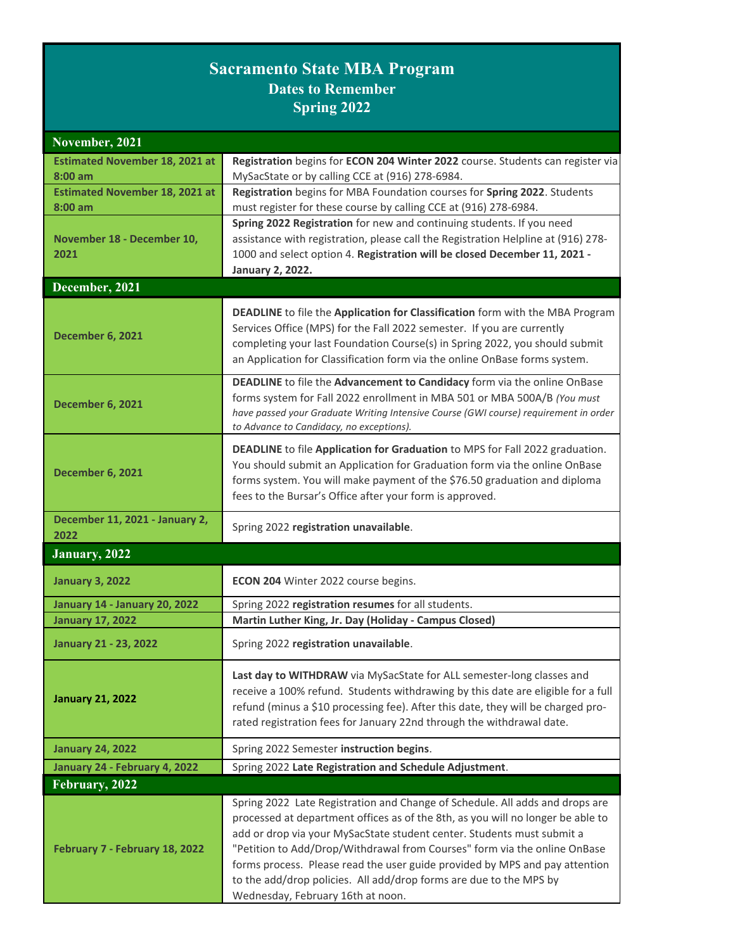## **Sacramento State MBA Program Dates to Remember Spring 2022**

| November, 2021                         |                                                                                                                                                                                                                                                                                                                                                                                                                                                                                                                  |
|----------------------------------------|------------------------------------------------------------------------------------------------------------------------------------------------------------------------------------------------------------------------------------------------------------------------------------------------------------------------------------------------------------------------------------------------------------------------------------------------------------------------------------------------------------------|
| <b>Estimated November 18, 2021 at</b>  | Registration begins for ECON 204 Winter 2022 course. Students can register via                                                                                                                                                                                                                                                                                                                                                                                                                                   |
| $8:00$ am                              | MySacState or by calling CCE at (916) 278-6984.                                                                                                                                                                                                                                                                                                                                                                                                                                                                  |
| <b>Estimated November 18, 2021 at</b>  | Registration begins for MBA Foundation courses for Spring 2022. Students                                                                                                                                                                                                                                                                                                                                                                                                                                         |
| $8:00$ am                              | must register for these course by calling CCE at (916) 278-6984.                                                                                                                                                                                                                                                                                                                                                                                                                                                 |
|                                        | Spring 2022 Registration for new and continuing students. If you need                                                                                                                                                                                                                                                                                                                                                                                                                                            |
| November 18 - December 10,             | assistance with registration, please call the Registration Helpline at (916) 278-                                                                                                                                                                                                                                                                                                                                                                                                                                |
| 2021                                   | 1000 and select option 4. Registration will be closed December 11, 2021 -                                                                                                                                                                                                                                                                                                                                                                                                                                        |
| December, 2021                         | <b>January 2, 2022.</b>                                                                                                                                                                                                                                                                                                                                                                                                                                                                                          |
|                                        |                                                                                                                                                                                                                                                                                                                                                                                                                                                                                                                  |
| <b>December 6, 2021</b>                | DEADLINE to file the Application for Classification form with the MBA Program<br>Services Office (MPS) for the Fall 2022 semester. If you are currently<br>completing your last Foundation Course(s) in Spring 2022, you should submit<br>an Application for Classification form via the online OnBase forms system.                                                                                                                                                                                             |
| <b>December 6, 2021</b>                | DEADLINE to file the Advancement to Candidacy form via the online OnBase<br>forms system for Fall 2022 enrollment in MBA 501 or MBA 500A/B (You must<br>have passed your Graduate Writing Intensive Course (GWI course) requirement in order<br>to Advance to Candidacy, no exceptions).                                                                                                                                                                                                                         |
| <b>December 6, 2021</b>                | DEADLINE to file Application for Graduation to MPS for Fall 2022 graduation.<br>You should submit an Application for Graduation form via the online OnBase<br>forms system. You will make payment of the \$76.50 graduation and diploma<br>fees to the Bursar's Office after your form is approved.                                                                                                                                                                                                              |
| December 11, 2021 - January 2,<br>2022 | Spring 2022 registration unavailable.                                                                                                                                                                                                                                                                                                                                                                                                                                                                            |
| January, 2022                          |                                                                                                                                                                                                                                                                                                                                                                                                                                                                                                                  |
| <b>January 3, 2022</b>                 | ECON 204 Winter 2022 course begins.                                                                                                                                                                                                                                                                                                                                                                                                                                                                              |
| <b>January 14 - January 20, 2022</b>   | Spring 2022 registration resumes for all students.                                                                                                                                                                                                                                                                                                                                                                                                                                                               |
| <b>January 17, 2022</b>                | Martin Luther King, Jr. Day (Holiday - Campus Closed)                                                                                                                                                                                                                                                                                                                                                                                                                                                            |
| <b>January 21 - 23, 2022</b>           | Spring 2022 registration unavailable.                                                                                                                                                                                                                                                                                                                                                                                                                                                                            |
| <b>January 21, 2022</b>                | Last day to WITHDRAW via MySacState for ALL semester-long classes and<br>receive a 100% refund. Students withdrawing by this date are eligible for a full<br>refund (minus a \$10 processing fee). After this date, they will be charged pro-<br>rated registration fees for January 22nd through the withdrawal date.                                                                                                                                                                                           |
| <b>January 24, 2022</b>                | Spring 2022 Semester instruction begins.                                                                                                                                                                                                                                                                                                                                                                                                                                                                         |
| January 24 - February 4, 2022          | Spring 2022 Late Registration and Schedule Adjustment.                                                                                                                                                                                                                                                                                                                                                                                                                                                           |
| February, 2022                         |                                                                                                                                                                                                                                                                                                                                                                                                                                                                                                                  |
| February 7 - February 18, 2022         | Spring 2022 Late Registration and Change of Schedule. All adds and drops are<br>processed at department offices as of the 8th, as you will no longer be able to<br>add or drop via your MySacState student center. Students must submit a<br>"Petition to Add/Drop/Withdrawal from Courses" form via the online OnBase<br>forms process. Please read the user guide provided by MPS and pay attention<br>to the add/drop policies. All add/drop forms are due to the MPS by<br>Wednesday, February 16th at noon. |